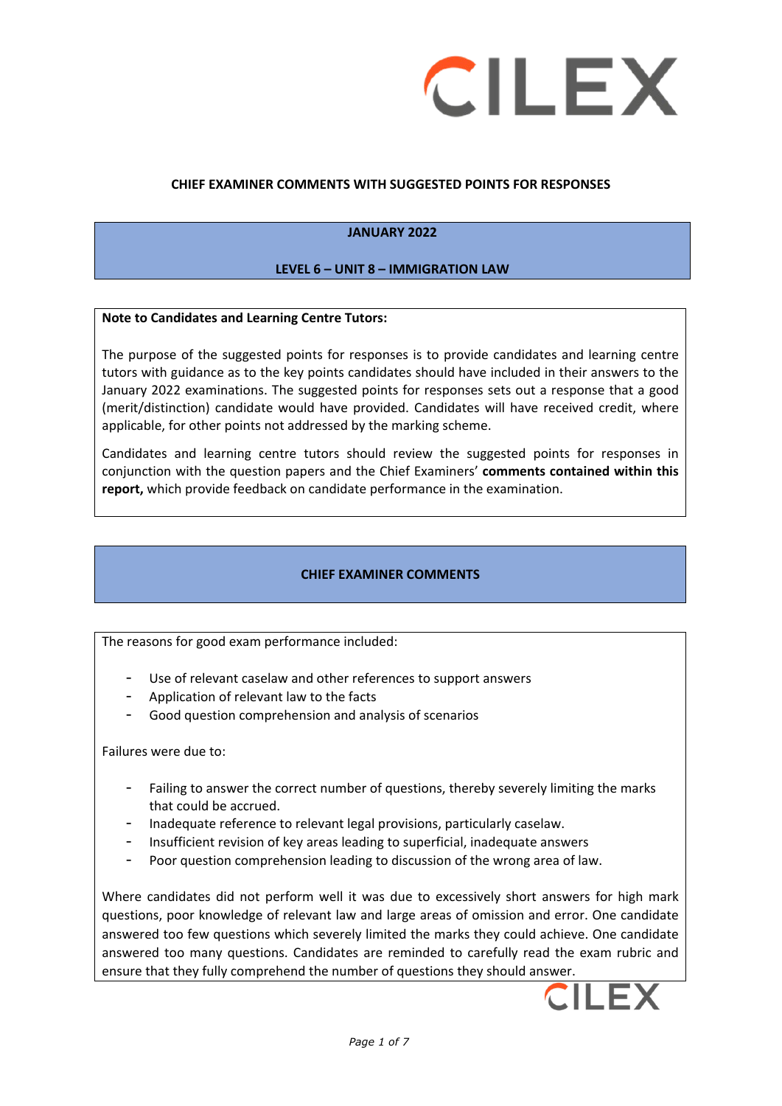

## **CHIEF EXAMINER COMMENTS WITH SUGGESTED POINTS FOR RESPONSES**

## **JANUARY 2022**

### **LEVEL 6 – UNIT 8 – IMMIGRATION LAW**

#### **Note to Candidates and Learning Centre Tutors:**

The purpose of the suggested points for responses is to provide candidates and learning centre tutors with guidance as to the key points candidates should have included in their answers to the January 2022 examinations. The suggested points for responses sets out a response that a good (merit/distinction) candidate would have provided. Candidates will have received credit, where applicable, for other points not addressed by the marking scheme.

Candidates and learning centre tutors should review the suggested points for responses in conjunction with the question papers and the Chief Examiners' **comments contained within this report,** which provide feedback on candidate performance in the examination.

### **CHIEF EXAMINER COMMENTS**

The reasons for good exam performance included:

- Use of relevant caselaw and other references to support answers
- Application of relevant law to the facts
- Good question comprehension and analysis of scenarios

Failures were due to:

- Failing to answer the correct number of questions, thereby severely limiting the marks that could be accrued.
- Inadequate reference to relevant legal provisions, particularly caselaw.
- Insufficient revision of key areas leading to superficial, inadequate answers
- Poor question comprehension leading to discussion of the wrong area of law.

Where candidates did not perform well it was due to excessively short answers for high mark questions, poor knowledge of relevant law and large areas of omission and error. One candidate answered too few questions which severely limited the marks they could achieve. One candidate answered too many questions. Candidates are reminded to carefully read the exam rubric and ensure that they fully comprehend the number of questions they should answer.

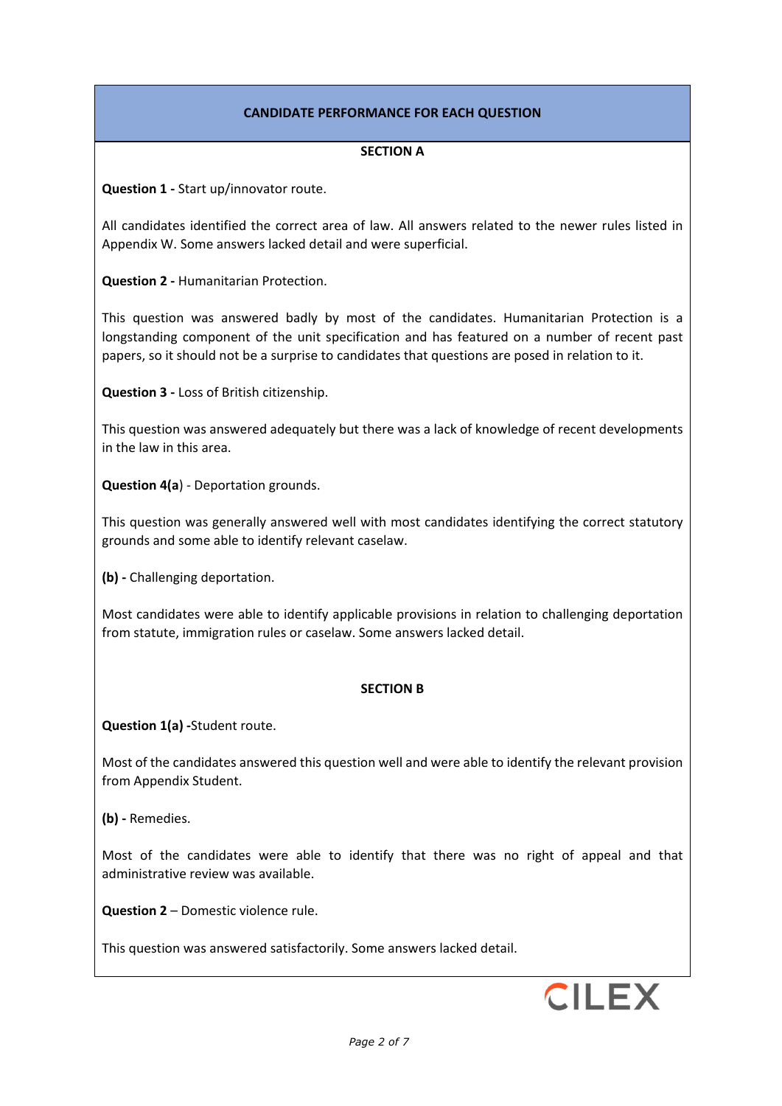# **CANDIDATE PERFORMANCE FOR EACH QUESTION**

## **SECTION A**

**Question 1 -** Start up/innovator route.

All candidates identified the correct area of law. All answers related to the newer rules listed in Appendix W. Some answers lacked detail and were superficial.

**Question 2 -** Humanitarian Protection.

This question was answered badly by most of the candidates. Humanitarian Protection is a longstanding component of the unit specification and has featured on a number of recent past papers, so it should not be a surprise to candidates that questions are posed in relation to it.

**Question 3 -** Loss of British citizenship.

This question was answered adequately but there was a lack of knowledge of recent developments in the law in this area.

**Question 4(a**) - Deportation grounds.

This question was generally answered well with most candidates identifying the correct statutory grounds and some able to identify relevant caselaw.

**(b) -** Challenging deportation.

Most candidates were able to identify applicable provisions in relation to challenging deportation from statute, immigration rules or caselaw. Some answers lacked detail.

### **SECTION B**

**Question 1(a) -**Student route.

Most of the candidates answered this question well and were able to identify the relevant provision from Appendix Student.

**(b) -** Remedies.

Most of the candidates were able to identify that there was no right of appeal and that administrative review was available.

**Question 2** – Domestic violence rule.

This question was answered satisfactorily. Some answers lacked detail.

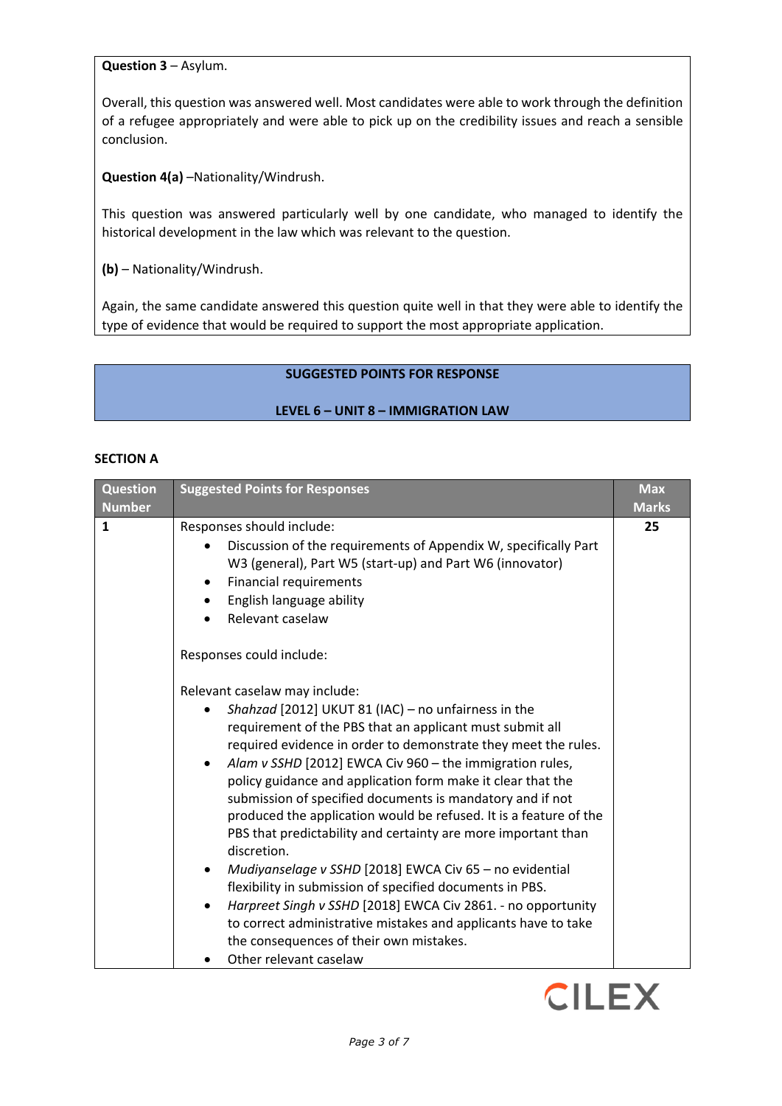**Question 3** – Asylum.

Overall, this question was answered well. Most candidates were able to work through the definition of a refugee appropriately and were able to pick up on the credibility issues and reach a sensible conclusion.

**Question 4(a)** –Nationality/Windrush.

This question was answered particularly well by one candidate, who managed to identify the historical development in the law which was relevant to the question.

**(b)** – Nationality/Windrush.

Again, the same candidate answered this question quite well in that they were able to identify the type of evidence that would be required to support the most appropriate application.

# **SUGGESTED POINTS FOR RESPONSE**

## **LEVEL 6 – UNIT 8 – IMMIGRATION LAW**

### **SECTION A**

| <b>Question</b><br><b>Number</b> | <b>Suggested Points for Responses</b>                                                                                                                                                                                                                                                                                                                                                                                                                                                                                                                                                                                                                                                                                                                                                                                                                                                                                                                                                                                                                                                                                                                                                     | <b>Max</b><br><b>Marks</b> |
|----------------------------------|-------------------------------------------------------------------------------------------------------------------------------------------------------------------------------------------------------------------------------------------------------------------------------------------------------------------------------------------------------------------------------------------------------------------------------------------------------------------------------------------------------------------------------------------------------------------------------------------------------------------------------------------------------------------------------------------------------------------------------------------------------------------------------------------------------------------------------------------------------------------------------------------------------------------------------------------------------------------------------------------------------------------------------------------------------------------------------------------------------------------------------------------------------------------------------------------|----------------------------|
| 1                                | Responses should include:<br>Discussion of the requirements of Appendix W, specifically Part<br>W3 (general), Part W5 (start-up) and Part W6 (innovator)<br>Financial requirements<br>$\bullet$<br>English language ability<br>$\bullet$<br>Relevant caselaw<br>Responses could include:<br>Relevant caselaw may include:<br>Shahzad [2012] UKUT 81 (IAC) - no unfairness in the<br>requirement of the PBS that an applicant must submit all<br>required evidence in order to demonstrate they meet the rules.<br>Alam v SSHD [2012] EWCA Civ 960 - the immigration rules,<br>policy guidance and application form make it clear that the<br>submission of specified documents is mandatory and if not<br>produced the application would be refused. It is a feature of the<br>PBS that predictability and certainty are more important than<br>discretion.<br>Mudiyanselage v SSHD [2018] EWCA Civ 65 - no evidential<br>flexibility in submission of specified documents in PBS.<br>Harpreet Singh v SSHD [2018] EWCA Civ 2861. - no opportunity<br>to correct administrative mistakes and applicants have to take<br>the consequences of their own mistakes.<br>Other relevant caselaw | 25                         |

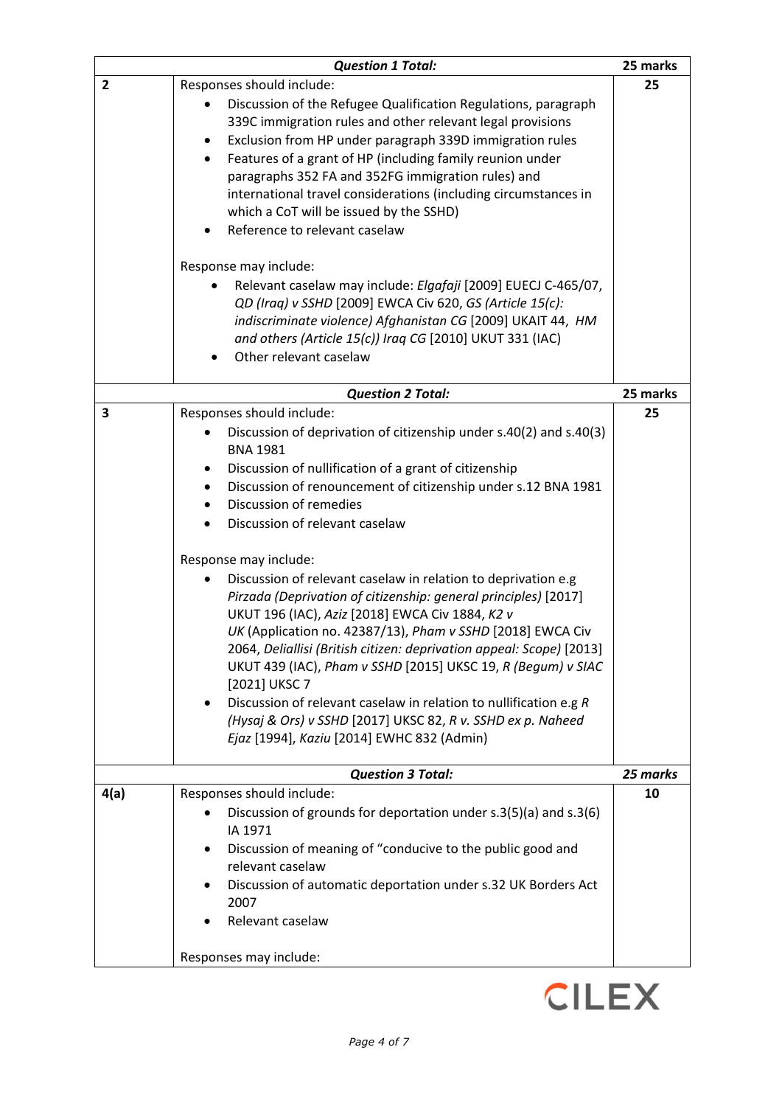|                | <b>Question 1 Total:</b>                                                                                                                                                                                                                                                                                                                                                                                                                                                                                                                                                                                                                                                                                                                                                                                                                                                                                                                                 | 25 marks |
|----------------|----------------------------------------------------------------------------------------------------------------------------------------------------------------------------------------------------------------------------------------------------------------------------------------------------------------------------------------------------------------------------------------------------------------------------------------------------------------------------------------------------------------------------------------------------------------------------------------------------------------------------------------------------------------------------------------------------------------------------------------------------------------------------------------------------------------------------------------------------------------------------------------------------------------------------------------------------------|----------|
| $\overline{2}$ | Responses should include:<br>Discussion of the Refugee Qualification Regulations, paragraph<br>339C immigration rules and other relevant legal provisions<br>Exclusion from HP under paragraph 339D immigration rules<br>Features of a grant of HP (including family reunion under<br>$\bullet$<br>paragraphs 352 FA and 352FG immigration rules) and<br>international travel considerations (including circumstances in<br>which a CoT will be issued by the SSHD)<br>Reference to relevant caselaw<br>$\bullet$                                                                                                                                                                                                                                                                                                                                                                                                                                        | 25       |
|                | Response may include:<br>Relevant caselaw may include: Elgafaji [2009] EUECJ C-465/07,<br>QD (Iraq) v SSHD [2009] EWCA Civ 620, GS (Article 15(c):<br>indiscriminate violence) Afghanistan CG [2009] UKAIT 44, HM<br>and others (Article 15(c)) Iraq CG [2010] UKUT 331 (IAC)<br>Other relevant caselaw                                                                                                                                                                                                                                                                                                                                                                                                                                                                                                                                                                                                                                                  |          |
|                | <b>Question 2 Total:</b>                                                                                                                                                                                                                                                                                                                                                                                                                                                                                                                                                                                                                                                                                                                                                                                                                                                                                                                                 | 25 marks |
| 3              | Responses should include:<br>Discussion of deprivation of citizenship under s.40(2) and s.40(3)<br><b>BNA 1981</b><br>Discussion of nullification of a grant of citizenship<br>٠<br>Discussion of renouncement of citizenship under s.12 BNA 1981<br>٠<br>Discussion of remedies<br>Discussion of relevant caselaw<br>$\bullet$<br>Response may include:<br>Discussion of relevant caselaw in relation to deprivation e.g<br>Pirzada (Deprivation of citizenship: general principles) [2017]<br>UKUT 196 (IAC), Aziz [2018] EWCA Civ 1884, K2 v<br>UK (Application no. 42387/13), Pham v SSHD [2018] EWCA Civ<br>2064, Deliallisi (British citizen: deprivation appeal: Scope) [2013]<br>UKUT 439 (IAC), Pham v SSHD [2015] UKSC 19, R (Begum) v SIAC<br>[2021] UKSC 7<br>Discussion of relevant caselaw in relation to nullification e.g R<br>(Hysaj & Ors) v SSHD [2017] UKSC 82, R v. SSHD ex p. Naheed<br>Ejaz [1994], Kaziu [2014] EWHC 832 (Admin) | 25       |
|                | <b>Question 3 Total:</b>                                                                                                                                                                                                                                                                                                                                                                                                                                                                                                                                                                                                                                                                                                                                                                                                                                                                                                                                 | 25 marks |
| 4(a)           | Responses should include:<br>Discussion of grounds for deportation under s.3(5)(a) and s.3(6)<br>IA 1971<br>Discussion of meaning of "conducive to the public good and<br>relevant caselaw<br>Discussion of automatic deportation under s.32 UK Borders Act<br>2007<br>Relevant caselaw<br>Responses may include:                                                                                                                                                                                                                                                                                                                                                                                                                                                                                                                                                                                                                                        | 10       |

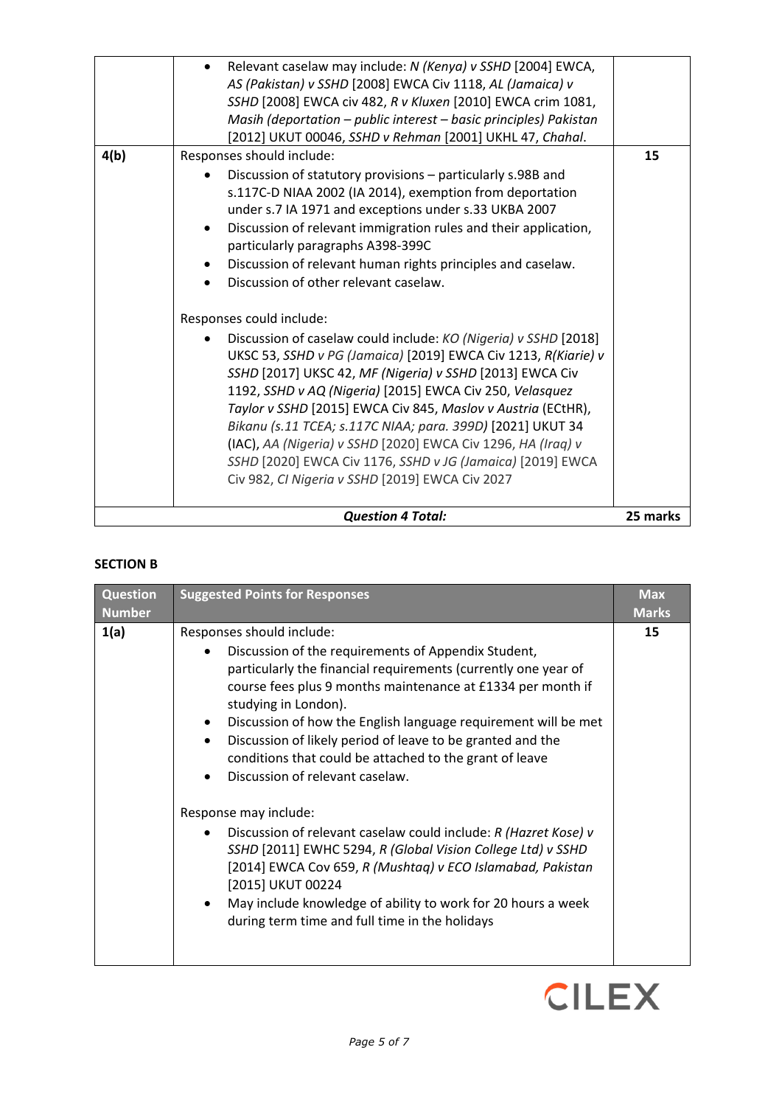|      | <b>Question 4 Total:</b>                                                                                                                                                                                                                                                                                                                                                                                                                                                                                                                                                                                                                                             | 25 marks |
|------|----------------------------------------------------------------------------------------------------------------------------------------------------------------------------------------------------------------------------------------------------------------------------------------------------------------------------------------------------------------------------------------------------------------------------------------------------------------------------------------------------------------------------------------------------------------------------------------------------------------------------------------------------------------------|----------|
|      | Responses could include:<br>Discussion of caselaw could include: KO (Nigeria) v SSHD [2018]<br>UKSC 53, SSHD v PG (Jamaica) [2019] EWCA Civ 1213, R(Kiarie) v<br>SSHD [2017] UKSC 42, MF (Nigeria) v SSHD [2013] EWCA Civ<br>1192, SSHD v AQ (Nigeria) [2015] EWCA Civ 250, Velasquez<br>Taylor v SSHD [2015] EWCA Civ 845, Maslov v Austria (ECtHR),<br>Bikanu (s.11 TCEA; s.117C NIAA; para. 399D) [2021] UKUT 34<br>(IAC), AA (Nigeria) v SSHD [2020] EWCA Civ 1296, HA (Iraq) v<br>SSHD [2020] EWCA Civ 1176, SSHD v JG (Jamaica) [2019] EWCA<br>Civ 982, CI Nigeria v SSHD [2019] EWCA Civ 2027                                                                 |          |
| 4(b) | SSHD [2008] EWCA civ 482, R v Kluxen [2010] EWCA crim 1081,<br>Masih (deportation - public interest - basic principles) Pakistan<br>[2012] UKUT 00046, SSHD v Rehman [2001] UKHL 47, Chahal.<br>Responses should include:<br>Discussion of statutory provisions – particularly s.98B and<br>s.117C-D NIAA 2002 (IA 2014), exemption from deportation<br>under s.7 IA 1971 and exceptions under s.33 UKBA 2007<br>Discussion of relevant immigration rules and their application,<br>$\bullet$<br>particularly paragraphs A398-399C<br>Discussion of relevant human rights principles and caselaw.<br>$\bullet$<br>Discussion of other relevant caselaw.<br>$\bullet$ | 15       |
|      | Relevant caselaw may include: N (Kenya) v SSHD [2004] EWCA,<br>AS (Pakistan) v SSHD [2008] EWCA Civ 1118, AL (Jamaica) v                                                                                                                                                                                                                                                                                                                                                                                                                                                                                                                                             |          |

### **SECTION B**

| <b>Question</b><br><b>Number</b> | <b>Suggested Points for Responses</b>                                                                                                                                                                                                                                                                                                                                                                                                                                                                                                                                                                                                                                                                                                                                                                                                                             | <b>Max</b><br><b>Marks</b> |
|----------------------------------|-------------------------------------------------------------------------------------------------------------------------------------------------------------------------------------------------------------------------------------------------------------------------------------------------------------------------------------------------------------------------------------------------------------------------------------------------------------------------------------------------------------------------------------------------------------------------------------------------------------------------------------------------------------------------------------------------------------------------------------------------------------------------------------------------------------------------------------------------------------------|----------------------------|
| 1(a)                             | Responses should include:<br>Discussion of the requirements of Appendix Student,<br>$\bullet$<br>particularly the financial requirements (currently one year of<br>course fees plus 9 months maintenance at £1334 per month if<br>studying in London).<br>Discussion of how the English language requirement will be met<br>Discussion of likely period of leave to be granted and the<br>conditions that could be attached to the grant of leave<br>Discussion of relevant caselaw.<br>Response may include:<br>Discussion of relevant caselaw could include: R (Hazret Kose) v<br>$\bullet$<br>SSHD [2011] EWHC 5294, R (Global Vision College Ltd) v SSHD<br>[2014] EWCA Cov 659, R (Mushtag) v ECO Islamabad, Pakistan<br>[2015] UKUT 00224<br>May include knowledge of ability to work for 20 hours a week<br>during term time and full time in the holidays | 15                         |

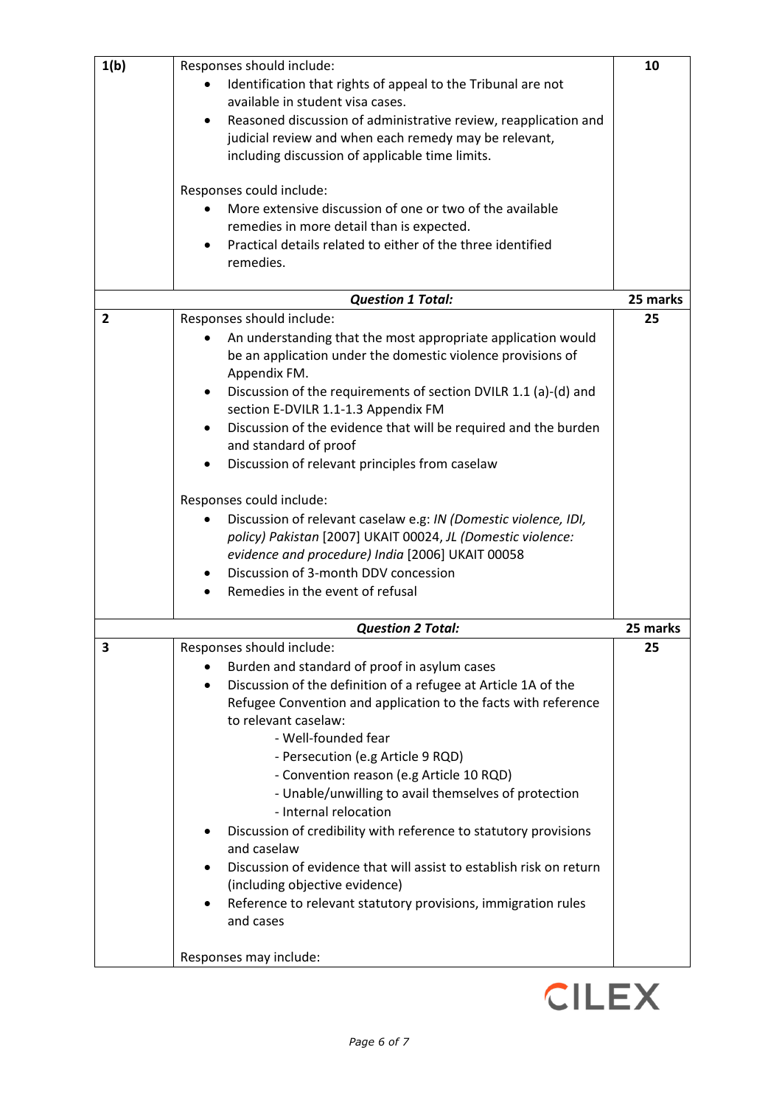| 1(b)           | Responses should include:                                                       | 10       |
|----------------|---------------------------------------------------------------------------------|----------|
|                | Identification that rights of appeal to the Tribunal are not                    |          |
|                | available in student visa cases.                                                |          |
|                | Reasoned discussion of administrative review, reapplication and                 |          |
|                | judicial review and when each remedy may be relevant,                           |          |
|                |                                                                                 |          |
|                | including discussion of applicable time limits.                                 |          |
|                | Responses could include:                                                        |          |
|                | More extensive discussion of one or two of the available                        |          |
|                | remedies in more detail than is expected.                                       |          |
|                | Practical details related to either of the three identified                     |          |
|                | remedies.                                                                       |          |
|                |                                                                                 |          |
|                | <b>Question 1 Total:</b>                                                        | 25 marks |
| $\overline{2}$ | Responses should include:                                                       | 25       |
|                | An understanding that the most appropriate application would                    |          |
|                | be an application under the domestic violence provisions of                     |          |
|                | Appendix FM.                                                                    |          |
|                |                                                                                 |          |
|                | Discussion of the requirements of section DVILR 1.1 (a)-(d) and                 |          |
|                | section E-DVILR 1.1-1.3 Appendix FM                                             |          |
|                | Discussion of the evidence that will be required and the burden                 |          |
|                | and standard of proof                                                           |          |
|                | Discussion of relevant principles from caselaw                                  |          |
|                | Responses could include:                                                        |          |
|                | Discussion of relevant caselaw e.g: IN (Domestic violence, IDI,                 |          |
|                | policy) Pakistan [2007] UKAIT 00024, JL (Domestic violence:                     |          |
|                | evidence and procedure) India [2006] UKAIT 00058                                |          |
|                | Discussion of 3-month DDV concession                                            |          |
|                | Remedies in the event of refusal                                                |          |
|                |                                                                                 |          |
|                | <b>Question 2 Total:</b>                                                        | 25 marks |
| 3              | Responses should include:                                                       | 25       |
|                | Burden and standard of proof in asylum cases                                    |          |
|                | Discussion of the definition of a refugee at Article 1A of the                  |          |
|                | Refugee Convention and application to the facts with reference                  |          |
|                | to relevant caselaw:                                                            |          |
|                | - Well-founded fear                                                             |          |
|                | - Persecution (e.g Article 9 RQD)                                               |          |
|                | - Convention reason (e.g Article 10 RQD)                                        |          |
|                | - Unable/unwilling to avail themselves of protection                            |          |
|                | - Internal relocation                                                           |          |
|                |                                                                                 |          |
|                | Discussion of credibility with reference to statutory provisions<br>and caselaw |          |
|                | Discussion of evidence that will assist to establish risk on return             |          |
|                | (including objective evidence)                                                  |          |
|                | Reference to relevant statutory provisions, immigration rules                   |          |
|                | and cases                                                                       |          |
|                | Responses may include:                                                          |          |
|                |                                                                                 |          |